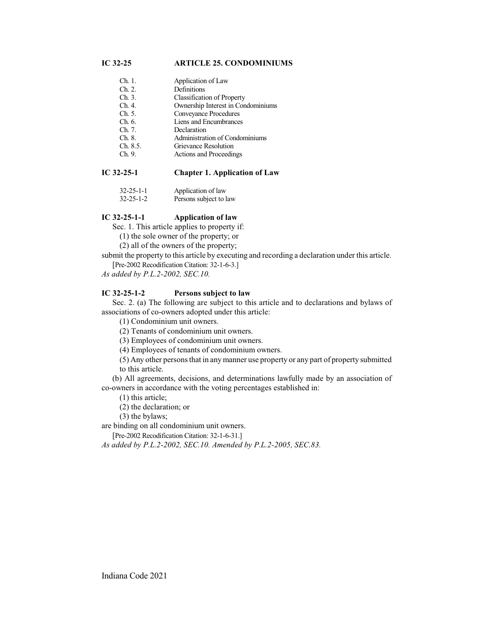# **IC 32-25 ARTICLE 25. CONDOMINIUMS**

- Ch. 1. Application of Law
- Ch. 2. Definitions<br>Ch. 3. Classificati
- Ch. 3. Classification of Property<br>Ch. 4. Ownership Interest in Con
- Ch. 4. Ownership Interest in Condominiums<br>Ch. 5. Convevance Procedures
- Conveyance Procedures
- Ch. 6. Liens and Encumbrances
- Ch. 7. Declaration
- Ch. 8. Administration of Condominiums<br>Ch. 8.5. Grievance Resolution
- Ch. 8.5. Grievance Resolution<br>Ch. 9. Actions and Proceedin
- Actions and Proceedings

# **IC 32-25-1 Chapter 1. Application of Law**

| $32 - 25 - 1 - 1$ | Application of law     |
|-------------------|------------------------|
| $32 - 25 - 1 - 2$ | Persons subject to law |

## **IC 32-25-1-1 Application of law**

Sec. 1. This article applies to property if:

(1) the sole owner of the property; or

(2) all of the owners of the property;

submit the property to this article by executing and recording a declaration under this article.

[Pre-2002 Recodification Citation: 32-1-6-3.]

*As added by P.L.2-2002, SEC.10.*

## **IC 32-25-1-2 Persons subject to law**

Sec. 2. (a) The following are subject to this article and to declarations and bylaws of associations of co-owners adopted under this article:

(1) Condominium unit owners.

(2) Tenants of condominium unit owners.

(3) Employees of condominium unit owners.

(4) Employees of tenants of condominium owners.

(5) Any other persons that in anymanner use property or any part of property submitted to this article.

(b) All agreements, decisions, and determinations lawfully made by an association of co-owners in accordance with the voting percentages established in:

(1) this article;

(2) the declaration; or

(3) the bylaws;

are binding on all condominium unit owners.

[Pre-2002 Recodification Citation: 32-1-6-31.]

*As added by P.L.2-2002, SEC.10. Amended by P.L.2-2005, SEC.83.*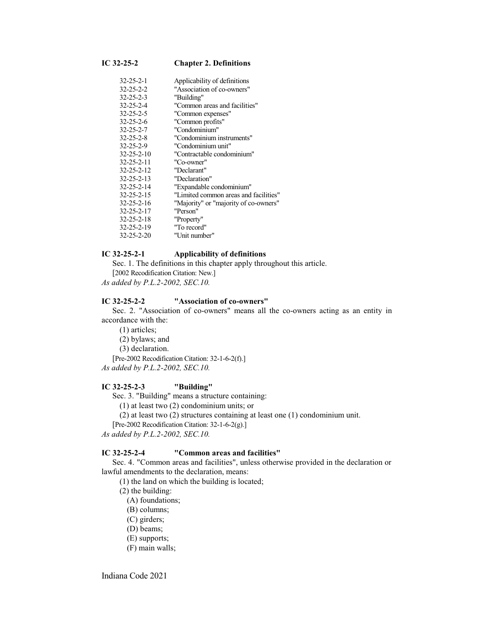# **IC 32-25-2 Chapter 2. Definitions**

| 32-25-2-1  | Applicability of definitions          |
|------------|---------------------------------------|
| 32-25-2-2  | "Association of co-owners"            |
| 32-25-2-3  | "Building"                            |
| 32-25-2-4  | "Common areas and facilities"         |
| 32-25-2-5  | "Common expenses"                     |
| 32-25-2-6  | "Common profits"                      |
| 32-25-2-7  | "Condominium"                         |
| 32-25-2-8  | "Condominium instruments"             |
| 32-25-2-9  | "Condominium unit"                    |
| 32-25-2-10 | "Contractable condominium"            |
| 32-25-2-11 | "Co-owner"                            |
| 32-25-2-12 | "Declarant"                           |
| 32-25-2-13 | "Declaration"                         |
| 32-25-2-14 | "Expandable condominium"              |
| 32-25-2-15 | "Limited common areas and facilities" |
| 32-25-2-16 | "Majority" or "majority of co-owners" |
| 32-25-2-17 | "Person"                              |
| 32-25-2-18 | "Property"                            |
| 32-25-2-19 | "To record"                           |
| 32-25-2-20 | "Unit number"                         |

## **IC 32-25-2-1 Applicability of definitions**

Sec. 1. The definitions in this chapter apply throughout this article. [2002 Recodification Citation: New.]

*As added by P.L.2-2002, SEC.10.*

# **IC 32-25-2-2 "Association of co-owners"**

Sec. 2. "Association of co-owners" means all the co-owners acting as an entity in accordance with the:

(1) articles;

(2) bylaws; and

(3) declaration.

[Pre-2002 Recodification Citation: 32-1-6-2(f).]

*As added by P.L.2-2002, SEC.10.*

### **IC 32-25-2-3 "Building"**

Sec. 3. "Building" means a structure containing:

(1) at least two (2) condominium units; or

(2) at least two (2) structures containing at least one (1) condominium unit.

[Pre-2002 Recodification Citation: 32-1-6-2(g).]

*As added by P.L.2-2002, SEC.10.*

## **IC 32-25-2-4 "Common areas and facilities"**

Sec. 4. "Common areas and facilities", unless otherwise provided in the declaration or lawful amendments to the declaration, means:

(1) the land on which the building is located;

(2) the building:

(A) foundations;

(B) columns;

(C) girders;

- (D) beams;
- (E) supports;
- (F) main walls;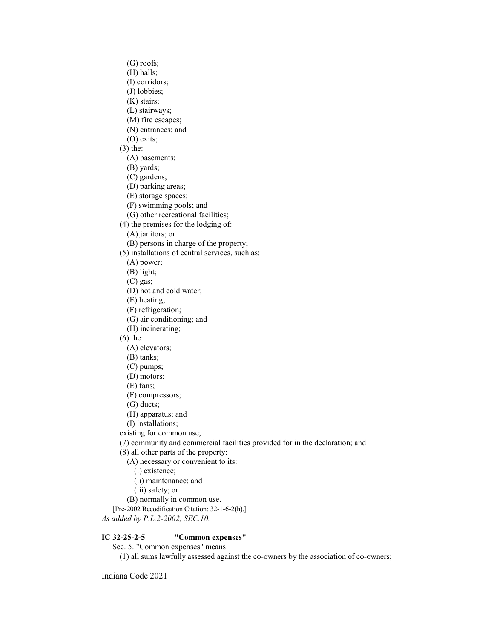- (G) roofs;
- (H) halls;
- (I) corridors;
- (J) lobbies;
- (K) stairs;
- (L) stairways;
- (M) fire escapes;
- (N) entrances; and
- (O) exits;
- (3) the:
	- (A) basements;
	- (B) yards;
	- (C) gardens;
	- (D) parking areas;
	- (E) storage spaces;
	- (F) swimming pools; and
	- (G) other recreational facilities;
- (4) the premises for the lodging of:
	- (A) janitors; or
	- (B) persons in charge of the property;
- (5) installations of central services, such as:
- (A) power;
- (B) light;
- (C) gas;
- (D) hot and cold water;
- (E) heating;
- (F) refrigeration;
- (G) air conditioning; and
- (H) incinerating;
- (6) the:
	- (A) elevators;
	- (B) tanks;
	- (C) pumps;
	- (D) motors;
	- (E) fans;
	- (F) compressors;
	- (G) ducts;
	- (H) apparatus; and
	- (I) installations;
- existing for common use;
- (7) community and commercial facilities provided for in the declaration; and
- (8) all other parts of the property:
	- (A) necessary or convenient to its:
		- (i) existence;
		- (ii) maintenance; and
		- (iii) safety; or
	- (B) normally in common use.
- [Pre-2002 Recodification Citation: 32-1-6-2(h).]
- *As added by P.L.2-2002, SEC.10.*

# **IC 32-25-2-5 "Common expenses"**

- Sec. 5. "Common expenses" means:
	- (1) all sums lawfully assessed against the co-owners by the association of co-owners;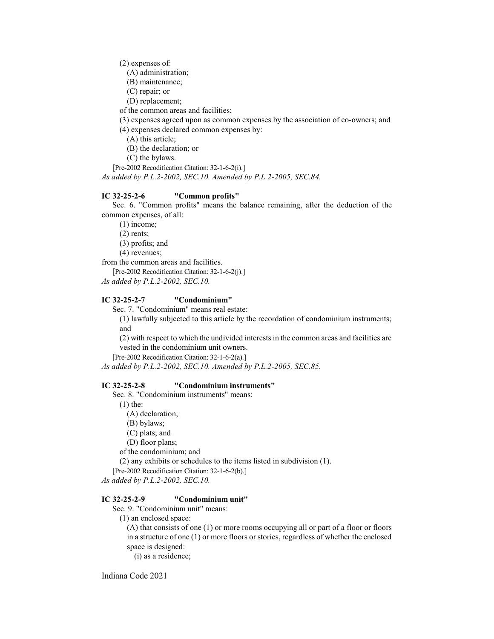(2) expenses of:

- (A) administration;
- (B) maintenance;
- (C) repair; or
- (D) replacement;
- of the common areas and facilities;

(3) expenses agreed upon as common expenses by the association of co-owners; and

- (4) expenses declared common expenses by:
	- (A) this article;

(B) the declaration; or

(C) the bylaws.

[Pre-2002 Recodification Citation: 32-1-6-2(i).]

*As added by P.L.2-2002, SEC.10. Amended by P.L.2-2005, SEC.84.*

## **IC 32-25-2-6 "Common profits"**

Sec. 6. "Common profits" means the balance remaining, after the deduction of the common expenses, of all:

(1) income;

(2) rents;

(3) profits; and

(4) revenues;

from the common areas and facilities.

[Pre-2002 Recodification Citation: 32-1-6-2(j).]

*As added by P.L.2-2002, SEC.10.*

#### **IC 32-25-2-7 "Condominium"**

Sec. 7. "Condominium" means real estate:

(1) lawfully subjected to this article by the recordation of condominium instruments; and

(2) with respect to which the undivided interests in the common areas and facilities are vested in the condominium unit owners.

[Pre-2002 Recodification Citation: 32-1-6-2(a).]

*As added by P.L.2-2002, SEC.10. Amended by P.L.2-2005, SEC.85.*

### **IC 32-25-2-8 "Condominium instruments"**

Sec. 8. "Condominium instruments" means:

(1) the:

- (A) declaration;
- (B) bylaws;
- (C) plats; and
- (D) floor plans;

of the condominium; and

(2) any exhibits or schedules to the items listed in subdivision (1).

[Pre-2002 Recodification Citation: 32-1-6-2(b).]

*As added by P.L.2-2002, SEC.10.*

# **IC 32-25-2-9 "Condominium unit"**

Sec. 9. "Condominium unit" means:

(1) an enclosed space:

(A) that consists of one (1) or more rooms occupying all or part of a floor or floors in a structure of one (1) or more floors or stories, regardless of whether the enclosed space is designed:

(i) as a residence;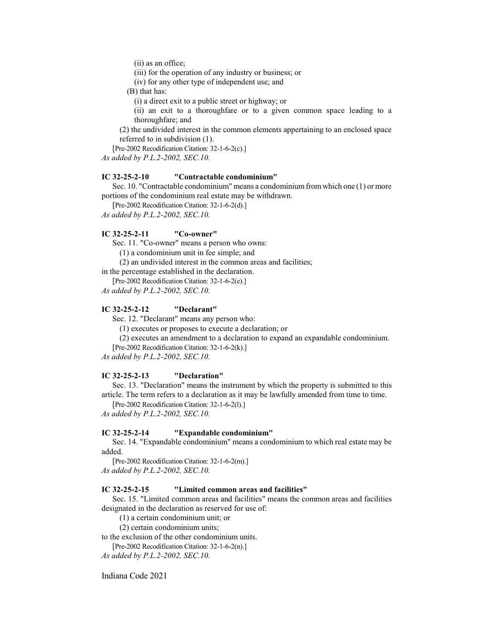(ii) as an office;

(iii) for the operation of any industry or business; or

(iv) for any other type of independent use; and

(B) that has:

(i) a direct exit to a public street or highway; or

(ii) an exit to a thoroughfare or to a given common space leading to a thoroughfare; and

(2) the undivided interest in the common elements appertaining to an enclosed space referred to in subdivision (1).

[Pre-2002 Recodification Citation: 32-1-6-2(c).] *As added by P.L.2-2002, SEC.10.*

### **IC 32-25-2-10 "Contractable condominium"**

Sec. 10. "Contractable condominium" means a condominium from which one (1) or more portions of the condominium real estate may be withdrawn.

[Pre-2002 Recodification Citation: 32-1-6-2(d).]

*As added by P.L.2-2002, SEC.10.*

#### **IC 32-25-2-11 "Co-owner"**

Sec. 11. "Co-owner" means a person who owns:

(1) a condominium unit in fee simple; and

(2) an undivided interest in the common areas and facilities;

in the percentage established in the declaration.

[Pre-2002 Recodification Citation: 32-1-6-2(e).]

*As added by P.L.2-2002, SEC.10.*

## **IC 32-25-2-12 "Declarant"**

Sec. 12. "Declarant" means any person who:

(1) executes or proposes to execute a declaration; or

(2) executes an amendment to a declaration to expand an expandable condominium.

[Pre-2002 Recodification Citation: 32-1-6-2(k).]

*As added by P.L.2-2002, SEC.10.*

#### **IC 32-25-2-13 "Declaration"**

Sec. 13. "Declaration" means the instrument by which the property is submitted to this article. The term refers to a declaration as it may be lawfully amended from time to time.

[Pre-2002 Recodification Citation: 32-1-6-2(l).]

*As added by P.L.2-2002, SEC.10.*

#### **IC 32-25-2-14 "Expandable condominium"**

Sec. 14. "Expandable condominium" means a condominium to which real estate may be added.

[Pre-2002 Recodification Citation: 32-1-6-2(m).] *As added by P.L.2-2002, SEC.10.*

#### **IC 32-25-2-15 "Limited common areas and facilities"**

Sec. 15. "Limited common areas and facilities" means the common areas and facilities designated in the declaration as reserved for use of:

(1) a certain condominium unit; or

(2) certain condominium units;

to the exclusion of the other condominium units.

[Pre-2002 Recodification Citation: 32-1-6-2(n).]

*As added by P.L.2-2002, SEC.10.*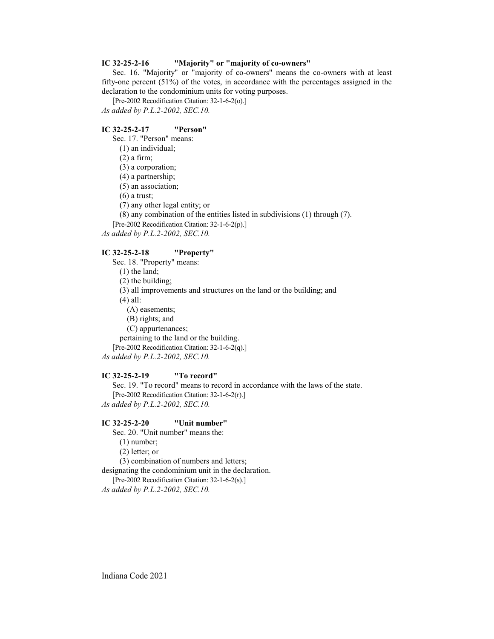#### **IC 32-25-2-16 "Majority" or "majority of co-owners"**

Sec. 16. "Majority" or "majority of co-owners" means the co-owners with at least fifty-one percent (51%) of the votes, in accordance with the percentages assigned in the declaration to the condominium units for voting purposes.

[Pre-2002 Recodification Citation: 32-1-6-2(o).] *As added by P.L.2-2002, SEC.10.*

#### **IC 32-25-2-17 "Person"**

Sec. 17. "Person" means:

(1) an individual;

(2) a firm;

(3) a corporation;

(4) a partnership;

(5) an association;

(6) a trust;

(7) any other legal entity; or

(8) any combination of the entities listed in subdivisions (1) through (7).

[Pre-2002 Recodification Citation: 32-1-6-2(p).]

*As added by P.L.2-2002, SEC.10.*

# **IC 32-25-2-18 "Property"**

Sec. 18. "Property" means:

(1) the land;

(2) the building;

(3) all improvements and structures on the land or the building; and

(4) all:

(A) easements;

(B) rights; and

(C) appurtenances;

pertaining to the land or the building.

[Pre-2002 Recodification Citation: 32-1-6-2(q).]

*As added by P.L.2-2002, SEC.10.*

## **IC 32-25-2-19 "To record"**

Sec. 19. "To record" means to record in accordance with the laws of the state. [Pre-2002 Recodification Citation: 32-1-6-2(r).] *As added by P.L.2-2002, SEC.10.*

#### **IC 32-25-2-20 "Unit number"**

Sec. 20. "Unit number" means the:

(1) number;

(2) letter; or

(3) combination of numbers and letters;

designating the condominium unit in the declaration.

[Pre-2002 Recodification Citation: 32-1-6-2(s).]

*As added by P.L.2-2002, SEC.10.*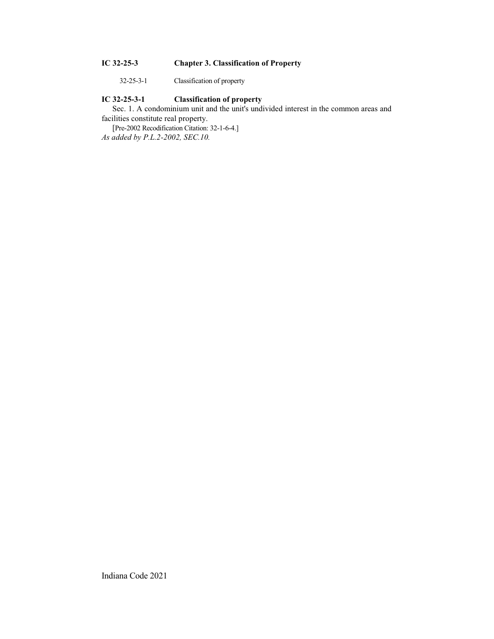# **IC 32-25-3 Chapter 3. Classification of Property**

32-25-3-1 Classification of property

# **IC 32-25-3-1 Classification of property**

Sec. 1. A condominium unit and the unit's undivided interest in the common areas and facilities constitute real property.

[Pre-2002 Recodification Citation: 32-1-6-4.] *As added by P.L.2-2002, SEC.10.*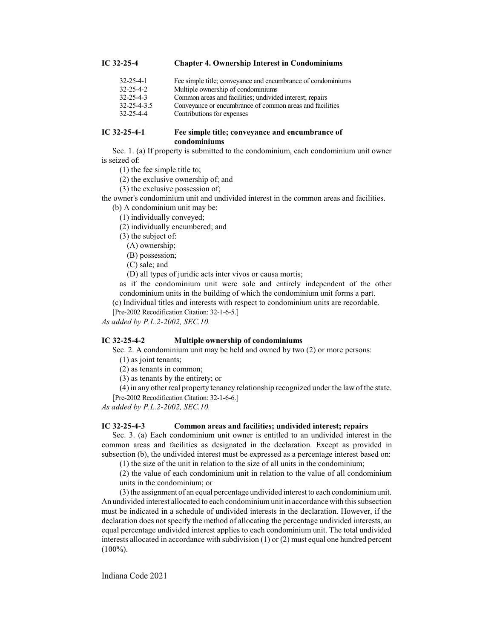## **IC 32-25-4 Chapter 4. Ownership Interest in Condominiums**

| 32-25-4-1   | Fee simple title; conveyance and encumbrance of condominiums |
|-------------|--------------------------------------------------------------|
| 32-25-4-2   | Multiple ownership of condominiums                           |
| 32-25-4-3   | Common areas and facilities; undivided interest; repairs     |
| 32-25-4-3.5 | Conveyance or encumbrance of common areas and facilities     |
| 32-25-4-4   | Contributions for expenses                                   |

#### **IC 32-25-4-1 Fee simple title; conveyance and encumbrance of condominiums**

Sec. 1. (a) If property is submitted to the condominium, each condominium unit owner is seized of:

- (1) the fee simple title to;
- (2) the exclusive ownership of; and
- (3) the exclusive possession of;

the owner's condominium unit and undivided interest in the common areas and facilities.

- (b) A condominium unit may be:
	- (1) individually conveyed;
	- (2) individually encumbered; and
	- (3) the subject of:
		- (A) ownership;

(B) possession;

(C) sale; and

(D) all types of juridic acts inter vivos or causa mortis;

as if the condominium unit were sole and entirely independent of the other condominium units in the building of which the condominium unit forms a part.

(c) Individual titles and interests with respect to condominium units are recordable.

[Pre-2002 Recodification Citation: 32-1-6-5.]

*As added by P.L.2-2002, SEC.10.*

#### **IC 32-25-4-2 Multiple ownership of condominiums**

Sec. 2. A condominium unit may be held and owned by two (2) or more persons:

(1) as joint tenants;

(2) as tenants in common;

(3) as tenants by the entirety; or

(4) in any other real property tenancy relationship recognized under the law ofthe state.

[Pre-2002 Recodification Citation: 32-1-6-6.]

*As added by P.L.2-2002, SEC.10.*

## **IC 32-25-4-3 Common areas and facilities; undivided interest; repairs**

Sec. 3. (a) Each condominium unit owner is entitled to an undivided interest in the common areas and facilities as designated in the declaration. Except as provided in subsection (b), the undivided interest must be expressed as a percentage interest based on:

(1) the size of the unit in relation to the size of all units in the condominium;

(2) the value of each condominium unit in relation to the value of all condominium units in the condominium; or

(3) the assignment of an equal percentage undivided interest to each condominiumunit. An undivided interest allocated to each condominiumunit in accordance with this subsection must be indicated in a schedule of undivided interests in the declaration. However, if the declaration does not specify the method of allocating the percentage undivided interests, an equal percentage undivided interest applies to each condominium unit. The total undivided interests allocated in accordance with subdivision (1) or (2) must equal one hundred percent  $(100\%).$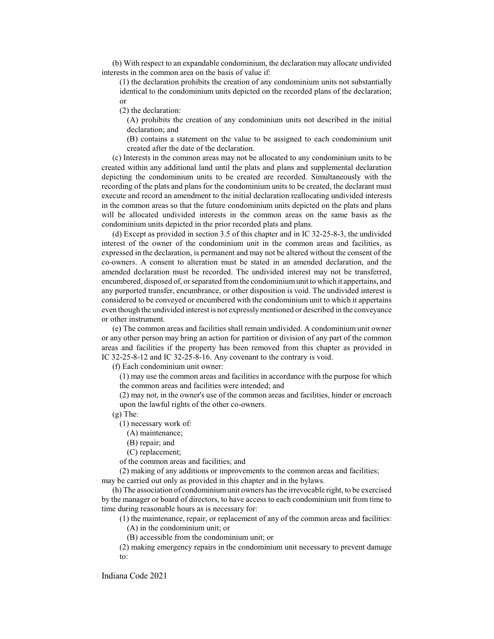(b) With respect to an expandable condominium, the declaration may allocate undivided interests in the common area on the basis of value if:

(1) the declaration prohibits the creation of any condominium units not substantially identical to the condominium units depicted on the recorded plans of the declaration; or

(2) the declaration:

(A) prohibits the creation of any condominium units not described in the initial declaration; and

(B) contains a statement on the value to be assigned to each condominium unit created after the date of the declaration.

(c) Interests in the common areas may not be allocated to any condominium units to be created within any additional land until the plats and plans and supplemental declaration depicting the condominium units to be created are recorded. Simultaneously with the recording of the plats and plans for the condominium units to be created, the declarant must execute and record an amendment to the initial declaration reallocating undivided interests in the common areas so that the future condominium units depicted on the plats and plans will be allocated undivided interests in the common areas on the same basis as the condominium units depicted in the prior recorded plats and plans.

(d) Except as provided in section 3.5 of this chapter and in IC 32-25-8-3, the undivided interest of the owner of the condominium unit in the common areas and facilities, as expressed in the declaration, is permanent and may not be altered without the consent of the co-owners. A consent to alteration must be stated in an amended declaration, and the amended declaration must be recorded. The undivided interest may not be transferred, encumbered, disposed of, or separated fromthe condominiumunit to which it appertains, and any purported transfer, encumbrance, or other disposition is void. The undivided interest is considered to be conveyed or encumbered with the condominium unit to which it appertains even though the undivided interest is not expresslymentioned or described in the conveyance or other instrument.

(e) The common areas and facilities shall remain undivided. A condominium unit owner or any other person may bring an action for partition or division of any part of the common areas and facilities if the property has been removed from this chapter as provided in IC 32-25-8-12 and IC 32-25-8-16. Any covenant to the contrary is void.

(f) Each condominium unit owner:

(1) may use the common areas and facilities in accordance with the purpose for which the common areas and facilities were intended; and

(2) may not, in the owner's use of the common areas and facilities, hinder or encroach upon the lawful rights of the other co-owners.

(g) The:

(1) necessary work of:

- (A) maintenance;
- (B) repair; and
- (C) replacement;

of the common areas and facilities; and

(2) making of any additions or improvements to the common areas and facilities; may be carried out only as provided in this chapter and in the bylaws.

(h) The association of condominiumunit owners has the irrevocable right, to be exercised by the manager or board of directors, to have access to each condominium unit from time to time during reasonable hours as is necessary for:

(1) the maintenance, repair, or replacement of any of the common areas and facilities: (A) in the condominium unit; or

(B) accessible from the condominium unit; or

(2) making emergency repairs in the condominium unit necessary to prevent damage to: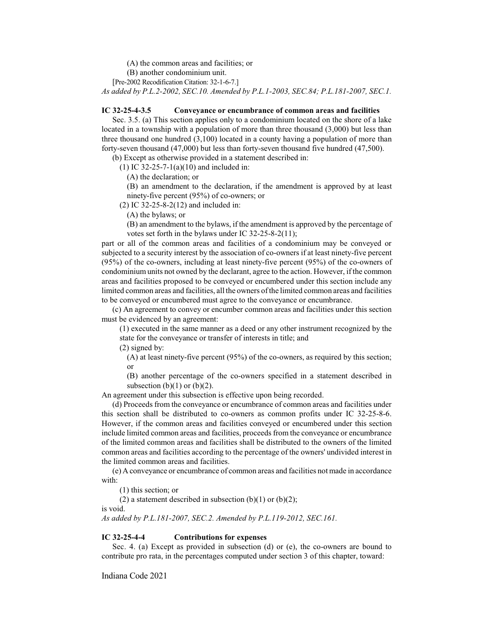(A) the common areas and facilities; or

(B) another condominium unit.

[Pre-2002 Recodification Citation: 32-1-6-7.]

*As added by P.L.2-2002, SEC.10. Amended by P.L.1-2003, SEC.84; P.L.181-2007, SEC.1.*

#### **IC 32-25-4-3.5 Conveyance or encumbrance of common areas and facilities**

Sec. 3.5. (a) This section applies only to a condominium located on the shore of a lake located in a township with a population of more than three thousand (3,000) but less than three thousand one hundred (3,100) located in a county having a population of more than forty-seven thousand (47,000) but less than forty-seven thousand five hundred (47,500).

(b) Except as otherwise provided in a statement described in:

(1) IC 32-25-7-1(a)(10) and included in:

(A) the declaration; or

(B) an amendment to the declaration, if the amendment is approved by at least ninety-five percent (95%) of co-owners; or

(2) IC 32-25-8-2(12) and included in:

(A) the bylaws; or

(B) an amendment to the bylaws, if the amendment is approved by the percentage of votes set forth in the bylaws under IC 32-25-8-2(11);

part or all of the common areas and facilities of a condominium may be conveyed or subjected to a security interest by the association of co-owners if at least ninety-five percent (95%) of the co-owners, including at least ninety-five percent (95%) of the co-owners of condominium units not owned by the declarant, agree to the action. However, if the common areas and facilities proposed to be conveyed or encumbered under this section include any limited common areas and facilities, all the owners ofthe limited common areas and facilities to be conveyed or encumbered must agree to the conveyance or encumbrance.

(c) An agreement to convey or encumber common areas and facilities under this section must be evidenced by an agreement:

(1) executed in the same manner as a deed or any other instrument recognized by the state for the conveyance or transfer of interests in title; and

(2) signed by:

(A) at least ninety-five percent (95%) of the co-owners, as required by this section; or

(B) another percentage of the co-owners specified in a statement described in subsection  $(b)(1)$  or  $(b)(2)$ .

An agreement under this subsection is effective upon being recorded.

(d) Proceeds from the conveyance or encumbrance of common areas and facilities under this section shall be distributed to co-owners as common profits under IC 32-25-8-6. However, if the common areas and facilities conveyed or encumbered under this section include limited common areas and facilities, proceeds from the conveyance or encumbrance of the limited common areas and facilities shall be distributed to the owners of the limited common areas and facilities according to the percentage of the owners' undivided interest in the limited common areas and facilities.

(e) A conveyance or encumbrance of common areas and facilities not made in accordance with:

(1) this section; or

(2) a statement described in subsection (b)(1) or (b)(2);

is void.

*As added by P.L.181-2007, SEC.2. Amended by P.L.119-2012, SEC.161.*

#### **IC 32-25-4-4 Contributions for expenses**

Sec. 4. (a) Except as provided in subsection (d) or (e), the co-owners are bound to contribute pro rata, in the percentages computed under section 3 of this chapter, toward: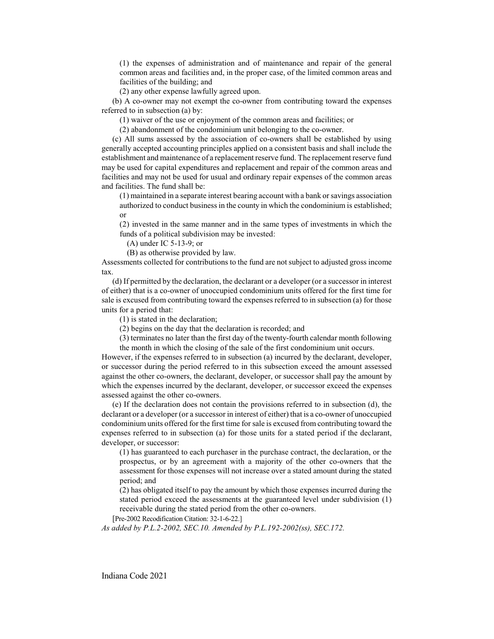(1) the expenses of administration and of maintenance and repair of the general common areas and facilities and, in the proper case, of the limited common areas and facilities of the building; and

(2) any other expense lawfully agreed upon.

(b) A co-owner may not exempt the co-owner from contributing toward the expenses referred to in subsection (a) by:

(1) waiver of the use or enjoyment of the common areas and facilities; or

(2) abandonment of the condominium unit belonging to the co-owner.

(c) All sums assessed by the association of co-owners shall be established by using generally accepted accounting principles applied on a consistent basis and shall include the establishment and maintenance of a replacement reserve fund. The replacement reserve fund may be used for capital expenditures and replacement and repair of the common areas and facilities and may not be used for usual and ordinary repair expenses of the common areas and facilities. The fund shall be:

(1) maintained in a separate interest bearing account with a bank or savings association authorized to conduct business in the county in which the condominium is established; or

(2) invested in the same manner and in the same types of investments in which the funds of a political subdivision may be invested:

(A) under IC 5-13-9; or

(B) as otherwise provided by law.

Assessments collected for contributions to the fund are not subject to adjusted gross income tax.

(d) If permitted by the declaration, the declarant or a developer (or a successor in interest of either) that is a co-owner of unoccupied condominium units offered for the first time for sale is excused from contributing toward the expenses referred to in subsection (a) for those units for a period that:

(1) is stated in the declaration;

(2) begins on the day that the declaration is recorded; and

(3) terminates no later than the first day of the twenty-fourth calendar month following

the month in which the closing of the sale of the first condominium unit occurs.

However, if the expenses referred to in subsection (a) incurred by the declarant, developer, or successor during the period referred to in this subsection exceed the amount assessed against the other co-owners, the declarant, developer, or successor shall pay the amount by which the expenses incurred by the declarant, developer, or successor exceed the expenses assessed against the other co-owners.

(e) If the declaration does not contain the provisions referred to in subsection (d), the declarant or a developer (or a successor in interest of either) that is a co-owner of unoccupied condominium units offered for the first time for sale is excused from contributing toward the expenses referred to in subsection (a) for those units for a stated period if the declarant, developer, or successor:

(1) has guaranteed to each purchaser in the purchase contract, the declaration, or the prospectus, or by an agreement with a majority of the other co-owners that the assessment for those expenses will not increase over a stated amount during the stated period; and

(2) has obligated itself to pay the amount by which those expenses incurred during the stated period exceed the assessments at the guaranteed level under subdivision (1) receivable during the stated period from the other co-owners.

[Pre-2002 Recodification Citation: 32-1-6-22.]

*As added by P.L.2-2002, SEC.10. Amended by P.L.192-2002(ss), SEC.172.*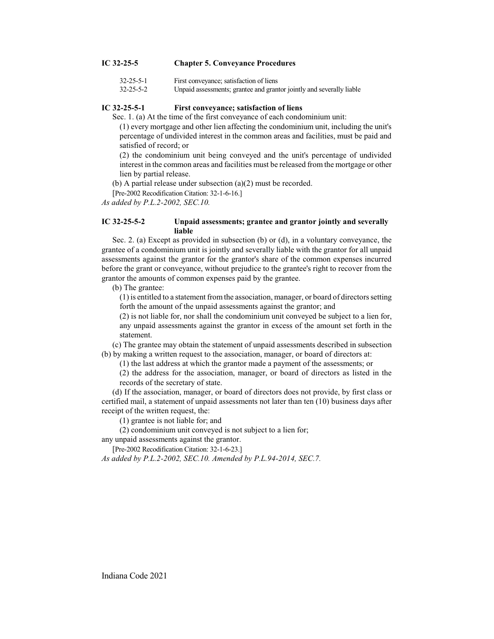# **IC 32-25-5 Chapter 5. Conveyance Procedures**

| 32-25-5-1 | First conveyance; satisfaction of liens |
|-----------|-----------------------------------------|
| 22.25.7.2 | TT : 1 1 1 . 1                          |

32-25-5-2 Unpaid assessments; grantee and grantor jointly and severally liable

#### **IC 32-25-5-1 First conveyance; satisfaction of liens**

Sec. 1. (a) At the time of the first conveyance of each condominium unit:

(1) every mortgage and other lien affecting the condominium unit, including the unit's percentage of undivided interest in the common areas and facilities, must be paid and satisfied of record; or

(2) the condominium unit being conveyed and the unit's percentage of undivided interest in the common areas and facilities must be released from the mortgage or other lien by partial release.

(b) A partial release under subsection (a)(2) must be recorded.

[Pre-2002 Recodification Citation: 32-1-6-16.]

*As added by P.L.2-2002, SEC.10.*

## **IC 32-25-5-2 Unpaid assessments; grantee and grantor jointly and severally liable**

Sec. 2. (a) Except as provided in subsection (b) or (d), in a voluntary conveyance, the grantee of a condominium unit is jointly and severally liable with the grantor for all unpaid assessments against the grantor for the grantor's share of the common expenses incurred before the grant or conveyance, without prejudice to the grantee's right to recover from the grantor the amounts of common expenses paid by the grantee.

(b) The grantee:

(1) is entitled to a statement fromthe association, manager, or board of directors setting forth the amount of the unpaid assessments against the grantor; and

(2) is not liable for, nor shall the condominium unit conveyed be subject to a lien for, any unpaid assessments against the grantor in excess of the amount set forth in the statement.

(c) The grantee may obtain the statement of unpaid assessments described in subsection (b) by making a written request to the association, manager, or board of directors at:

(1) the last address at which the grantor made a payment of the assessments; or

(2) the address for the association, manager, or board of directors as listed in the records of the secretary of state.

(d) If the association, manager, or board of directors does not provide, by first class or certified mail, a statement of unpaid assessments not later than ten (10) business days after receipt of the written request, the:

(1) grantee is not liable for; and

(2) condominium unit conveyed is not subject to a lien for;

any unpaid assessments against the grantor.

[Pre-2002 Recodification Citation: 32-1-6-23.]

*As added by P.L.2-2002, SEC.10. Amended by P.L.94-2014, SEC.7.*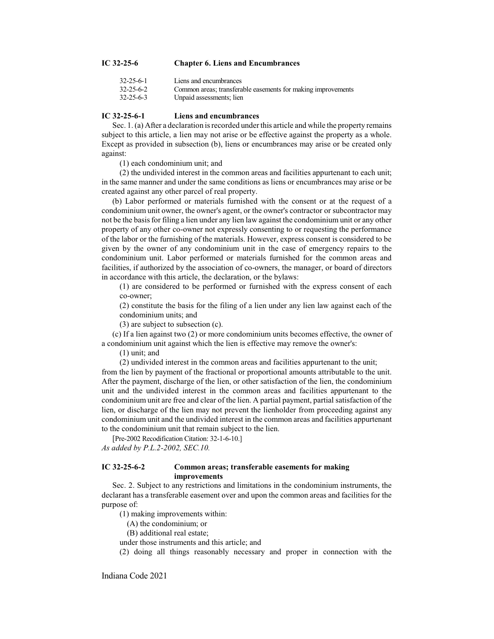## **IC 32-25-6 Chapter 6. Liens and Encumbrances**

| 32-25-6-1 | Liens and encumbrances                                       |
|-----------|--------------------------------------------------------------|
| 32-25-6-2 | Common areas; transferable easements for making improvements |
| 32-25-6-3 | Unpaid assessments; lien                                     |

### **IC 32-25-6-1 Liens and encumbrances**

Sec. 1. (a) After a declaration is recorded under this article and while the property remains subject to this article, a lien may not arise or be effective against the property as a whole. Except as provided in subsection (b), liens or encumbrances may arise or be created only against:

(1) each condominium unit; and

(2) the undivided interest in the common areas and facilities appurtenant to each unit; in the same manner and under the same conditions as liens or encumbrances may arise or be created against any other parcel of real property.

(b) Labor performed or materials furnished with the consent or at the request of a condominium unit owner, the owner's agent, or the owner's contractor or subcontractor may not be the basis for filing a lien under any lien law against the condominium unit or any other property of any other co-owner not expressly consenting to or requesting the performance of the labor or the furnishing of the materials. However, express consent is considered to be given by the owner of any condominium unit in the case of emergency repairs to the condominium unit. Labor performed or materials furnished for the common areas and facilities, if authorized by the association of co-owners, the manager, or board of directors in accordance with this article, the declaration, or the bylaws:

(1) are considered to be performed or furnished with the express consent of each co-owner;

(2) constitute the basis for the filing of a lien under any lien law against each of the condominium units; and

(3) are subject to subsection (c).

(c) If a lien against two (2) or more condominium units becomes effective, the owner of a condominium unit against which the lien is effective may remove the owner's:

(1) unit; and

(2) undivided interest in the common areas and facilities appurtenant to the unit;

from the lien by payment of the fractional or proportional amounts attributable to the unit. After the payment, discharge of the lien, or other satisfaction of the lien, the condominium unit and the undivided interest in the common areas and facilities appurtenant to the condominium unit are free and clear of the lien. A partial payment, partial satisfaction of the lien, or discharge of the lien may not prevent the lienholder from proceeding against any condominium unit and the undivided interest in the common areas and facilities appurtenant to the condominium unit that remain subject to the lien.

[Pre-2002 Recodification Citation: 32-1-6-10.] *As added by P.L.2-2002, SEC.10.*

# **IC 32-25-6-2 Common areas; transferable easements for making improvements**

Sec. 2. Subject to any restrictions and limitations in the condominium instruments, the declarant has a transferable easement over and upon the common areas and facilities for the purpose of:

(1) making improvements within:

(A) the condominium; or

(B) additional real estate;

under those instruments and this article; and

(2) doing all things reasonably necessary and proper in connection with the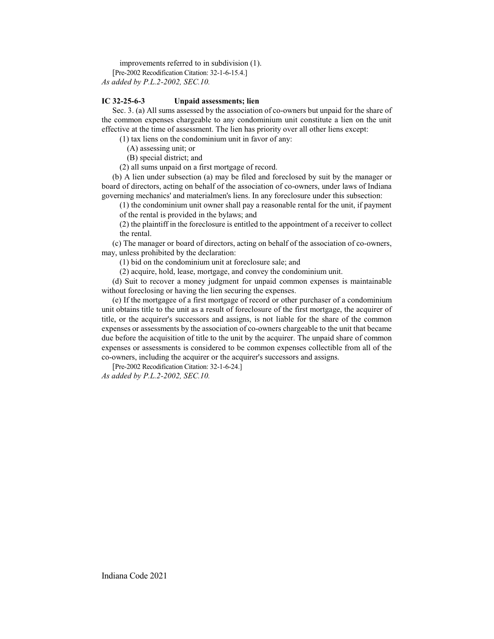improvements referred to in subdivision (1).

[Pre-2002 Recodification Citation: 32-1-6-15.4.] *As added by P.L.2-2002, SEC.10.*

## **IC 32-25-6-3 Unpaid assessments; lien**

Sec. 3. (a) All sums assessed by the association of co-owners but unpaid for the share of the common expenses chargeable to any condominium unit constitute a lien on the unit effective at the time of assessment. The lien has priority over all other liens except:

(1) tax liens on the condominium unit in favor of any:

(A) assessing unit; or

(B) special district; and

(2) all sums unpaid on a first mortgage of record.

(b) A lien under subsection (a) may be filed and foreclosed by suit by the manager or board of directors, acting on behalf of the association of co-owners, under laws of Indiana governing mechanics' and materialmen's liens. In any foreclosure under this subsection:

(1) the condominium unit owner shall pay a reasonable rental for the unit, if payment of the rental is provided in the bylaws; and

(2) the plaintiff in the foreclosure is entitled to the appointment of a receiver to collect the rental.

(c) The manager or board of directors, acting on behalf of the association of co-owners, may, unless prohibited by the declaration:

(1) bid on the condominium unit at foreclosure sale; and

(2) acquire, hold, lease, mortgage, and convey the condominium unit.

(d) Suit to recover a money judgment for unpaid common expenses is maintainable without foreclosing or having the lien securing the expenses.

(e) If the mortgagee of a first mortgage of record or other purchaser of a condominium unit obtains title to the unit as a result of foreclosure of the first mortgage, the acquirer of title, or the acquirer's successors and assigns, is not liable for the share of the common expenses or assessments by the association of co-owners chargeable to the unit that became due before the acquisition of title to the unit by the acquirer. The unpaid share of common expenses or assessments is considered to be common expenses collectible from all of the co-owners, including the acquirer or the acquirer's successors and assigns.

[Pre-2002 Recodification Citation: 32-1-6-24.] *As added by P.L.2-2002, SEC.10.*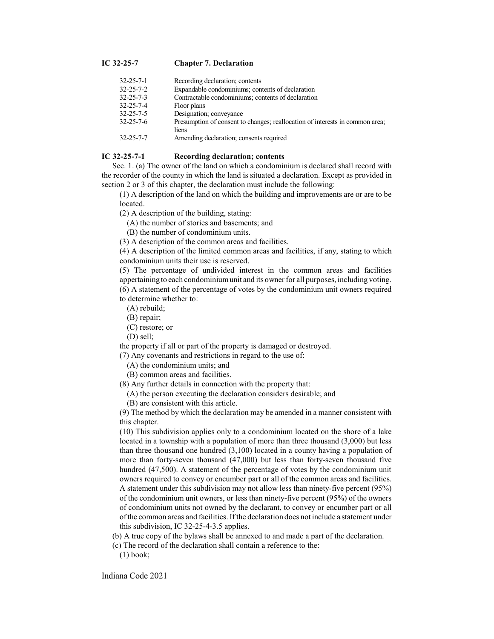# **IC 32-25-7 Chapter 7. Declaration**

| 32-25-7-1 | Recording declaration; contents                                                       |
|-----------|---------------------------------------------------------------------------------------|
| 32-25-7-2 | Expandable condominiums; contents of declaration                                      |
| 32-25-7-3 | Contractable condominiums; contents of declaration                                    |
| 32-25-7-4 | Floor plans                                                                           |
| 32-25-7-5 | Designation; conveyance                                                               |
| 32-25-7-6 | Presumption of consent to changes; reallocation of interests in common area;<br>liens |
| 32-25-7-7 | Amending declaration; consents required                                               |

## **IC 32-25-7-1 Recording declaration; contents**

Sec. 1. (a) The owner of the land on which a condominium is declared shall record with the recorder of the county in which the land is situated a declaration. Except as provided in section 2 or 3 of this chapter, the declaration must include the following:

(1) A description of the land on which the building and improvements are or are to be located.

(2) A description of the building, stating:

(A) the number of stories and basements; and

(B) the number of condominium units.

(3) A description of the common areas and facilities.

(4) A description of the limited common areas and facilities, if any, stating to which condominium units their use is reserved.

(5) The percentage of undivided interest in the common areas and facilities appertaining to each condominiumunit and its owner for all purposes, including voting. (6) A statement of the percentage of votes by the condominium unit owners required to determine whether to:

- (A) rebuild;
- (B) repair;
- (C) restore; or

(D) sell;

the property if all or part of the property is damaged or destroyed.

(7) Any covenants and restrictions in regard to the use of:

(A) the condominium units; and

(B) common areas and facilities.

(8) Any further details in connection with the property that:

- (A) the person executing the declaration considers desirable; and
- (B) are consistent with this article.

(9) The method by which the declaration may be amended in a manner consistent with this chapter.

(10) This subdivision applies only to a condominium located on the shore of a lake located in a township with a population of more than three thousand (3,000) but less than three thousand one hundred (3,100) located in a county having a population of more than forty-seven thousand (47,000) but less than forty-seven thousand five hundred (47,500). A statement of the percentage of votes by the condominium unit owners required to convey or encumber part or all of the common areas and facilities. A statement under this subdivision may not allow less than ninety-five percent (95%) of the condominium unit owners, or less than ninety-five percent (95%) of the owners of condominium units not owned by the declarant, to convey or encumber part or all ofthe common areas and facilities. Ifthe declaration does not include a statement under this subdivision, IC 32-25-4-3.5 applies.

(b) A true copy of the bylaws shall be annexed to and made a part of the declaration.

(c) The record of the declaration shall contain a reference to the: (1) book;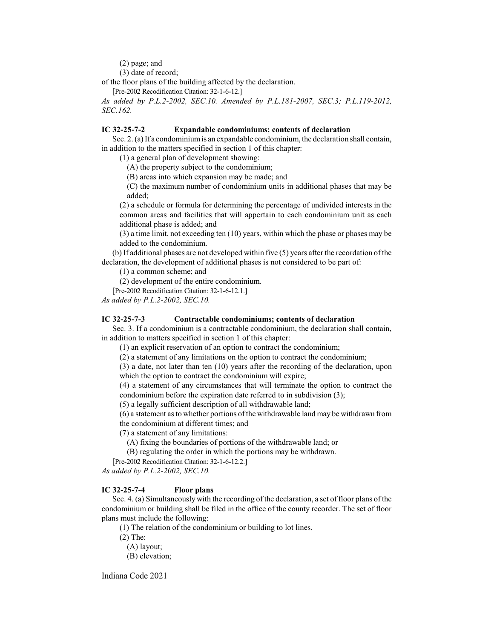(2) page; and

(3) date of record;

of the floor plans of the building affected by the declaration.

[Pre-2002 Recodification Citation: 32-1-6-12.]

*As added by P.L.2-2002, SEC.10. Amended by P.L.181-2007, SEC.3; P.L.119-2012, SEC.162.*

### **IC 32-25-7-2 Expandable condominiums; contents of declaration**

Sec. 2. (a) If a condominiumis an expandable condominium, the declaration shall contain, in addition to the matters specified in section 1 of this chapter:

(1) a general plan of development showing:

(A) the property subject to the condominium;

(B) areas into which expansion may be made; and

(C) the maximum number of condominium units in additional phases that may be added;

(2) a schedule or formula for determining the percentage of undivided interests in the common areas and facilities that will appertain to each condominium unit as each additional phase is added; and

(3) a time limit, not exceeding ten (10) years, within which the phase or phases may be added to the condominium.

(b) If additional phases are not developed within five (5) years after the recordation ofthe declaration, the development of additional phases is not considered to be part of:

(1) a common scheme; and

(2) development of the entire condominium.

[Pre-2002 Recodification Citation: 32-1-6-12.1.]

*As added by P.L.2-2002, SEC.10.*

## **IC 32-25-7-3 Contractable condominiums; contents of declaration**

Sec. 3. If a condominium is a contractable condominium, the declaration shall contain, in addition to matters specified in section 1 of this chapter:

(1) an explicit reservation of an option to contract the condominium;

(2) a statement of any limitations on the option to contract the condominium;

(3) a date, not later than ten (10) years after the recording of the declaration, upon which the option to contract the condominium will expire;

(4) a statement of any circumstances that will terminate the option to contract the condominium before the expiration date referred to in subdivision (3);

(5) a legally sufficient description of all withdrawable land;

 $(6)$  a statement as to whether portions of the withdrawable land may be withdrawn from

the condominium at different times; and

(7) a statement of any limitations:

(A) fixing the boundaries of portions of the withdrawable land; or

(B) regulating the order in which the portions may be withdrawn.

[Pre-2002 Recodification Citation: 32-1-6-12.2.]

*As added by P.L.2-2002, SEC.10.*

## **IC 32-25-7-4 Floor plans**

Sec. 4. (a) Simultaneously with the recording of the declaration, a set of floor plans of the condominium or building shall be filed in the office of the county recorder. The set of floor plans must include the following:

(1) The relation of the condominium or building to lot lines.

(2) The:

(A) layout;

(B) elevation;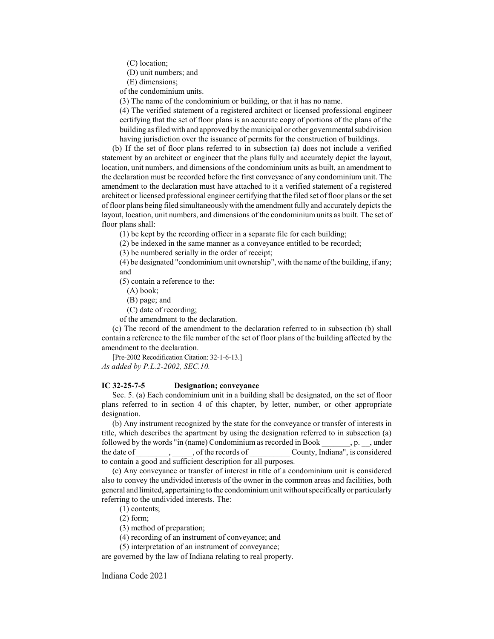(C) location;

(D) unit numbers; and

(E) dimensions;

of the condominium units.

(3) The name of the condominium or building, or that it has no name.

(4) The verified statement of a registered architect or licensed professional engineer certifying that the set of floor plans is an accurate copy of portions of the plans of the building as filed with and approved by the municipal or other governmental subdivision having jurisdiction over the issuance of permits for the construction of buildings.

(b) If the set of floor plans referred to in subsection (a) does not include a verified statement by an architect or engineer that the plans fully and accurately depict the layout, location, unit numbers, and dimensions of the condominium units as built, an amendment to the declaration must be recorded before the first conveyance of any condominium unit. The amendment to the declaration must have attached to it a verified statement of a registered architect or licensed professional engineer certifying that the filed set offloor plans or the set offloor plans being filed simultaneously with the amendmentfully and accurately depicts the layout, location, unit numbers, and dimensions of the condominium units as built. The set of floor plans shall:

(1) be kept by the recording officer in a separate file for each building;

(2) be indexed in the same manner as a conveyance entitled to be recorded;

(3) be numbered serially in the order of receipt;

 $(4)$  be designated "condominium unit ownership", with the name of the building, if any; and

(5) contain a reference to the:

(A) book;

(B) page; and

(C) date of recording;

of the amendment to the declaration.

(c) The record of the amendment to the declaration referred to in subsection (b) shall contain a reference to the file number of the set of floor plans of the building affected by the amendment to the declaration.

[Pre-2002 Recodification Citation: 32-1-6-13.] *As added by P.L.2-2002, SEC.10.*

## **IC 32-25-7-5 Designation; conveyance**

Sec. 5. (a) Each condominium unit in a building shall be designated, on the set of floor plans referred to in section 4 of this chapter, by letter, number, or other appropriate designation.

(b) Any instrument recognized by the state for the conveyance or transfer of interests in title, which describes the apartment by using the designation referred to in subsection (a) followed by the words "in (name) Condominium as recorded in Book \_\_\_\_\_\_\_, p. \_\_, under the date of \_\_\_\_\_\_\_\_, \_\_\_\_\_, of the records of \_\_\_\_\_\_\_\_\_\_ County, Indiana", is considered to contain a good and sufficient description for all purposes.

(c) Any conveyance or transfer of interest in title of a condominium unit is considered also to convey the undivided interests of the owner in the common areas and facilities, both general and limited, appertaining to the condominiumunit without specificallyor particularly referring to the undivided interests. The:

(1) contents;

(2) form;

(3) method of preparation;

(4) recording of an instrument of conveyance; and

(5) interpretation of an instrument of conveyance;

are governed by the law of Indiana relating to real property.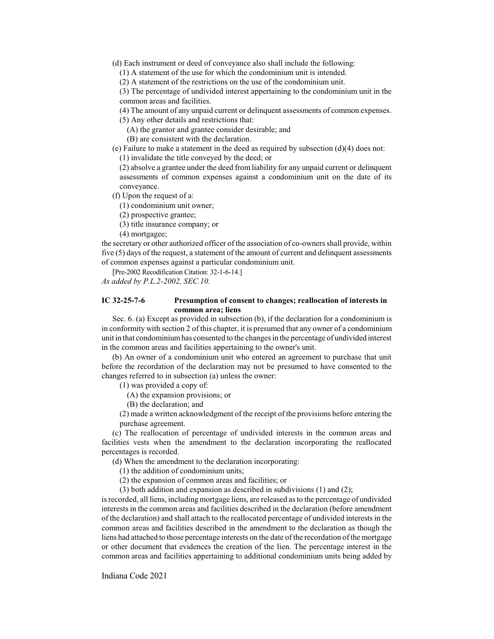(d) Each instrument or deed of conveyance also shall include the following:

(1) A statement of the use for which the condominium unit is intended.

(2) A statement of the restrictions on the use of the condominium unit.

(3) The percentage of undivided interest appertaining to the condominium unit in the common areas and facilities.

(4) The amount of any unpaid current or delinquent assessments of common expenses.

(5) Any other details and restrictions that:

(A) the grantor and grantee consider desirable; and

(B) are consistent with the declaration.

(e) Failure to make a statement in the deed as required by subsection (d)(4) does not:

(1) invalidate the title conveyed by the deed; or

(2) absolve a grantee under the deed from liability for any unpaid current or delinquent assessments of common expenses against a condominium unit on the date of its conveyance.

(f) Upon the request of a:

(1) condominium unit owner;

(2) prospective grantee;

(3) title insurance company; or

(4) mortgagee;

the secretary or other authorized officer of the association of co-owners shall provide, within five (5) days of the request, a statement of the amount of current and delinquent assessments of common expenses against a particular condominium unit.

[Pre-2002 Recodification Citation: 32-1-6-14.]

*As added by P.L.2-2002, SEC.10.*

### **IC 32-25-7-6 Presumption of consent to changes; reallocation of interests in common area; liens**

Sec. 6. (a) Except as provided in subsection (b), if the declaration for a condominium is in conformity with section 2 of this chapter, it is presumed that any owner of a condominium unit in that condominiumhas consented to the changes in the percentage of undivided interest in the common areas and facilities appertaining to the owner's unit.

(b) An owner of a condominium unit who entered an agreement to purchase that unit before the recordation of the declaration may not be presumed to have consented to the changes referred to in subsection (a) unless the owner:

(1) was provided a copy of:

(A) the expansion provisions; or

(B) the declaration; and

(2) made a written acknowledgment of the receipt of the provisions before entering the purchase agreement.

(c) The reallocation of percentage of undivided interests in the common areas and facilities vests when the amendment to the declaration incorporating the reallocated percentages is recorded.

(d) When the amendment to the declaration incorporating:

(1) the addition of condominium units;

(2) the expansion of common areas and facilities; or

(3) both addition and expansion as described in subdivisions (1) and (2);

is recorded, all liens, including mortgage liens, are released as to the percentage of undivided interests in the common areas and facilities described in the declaration (before amendment of the declaration) and shall attach to the reallocated percentage of undivided interests in the common areas and facilities described in the amendment to the declaration as though the liens had attached to those percentage interests on the date of the recordation of the mortgage or other document that evidences the creation of the lien. The percentage interest in the common areas and facilities appertaining to additional condominium units being added by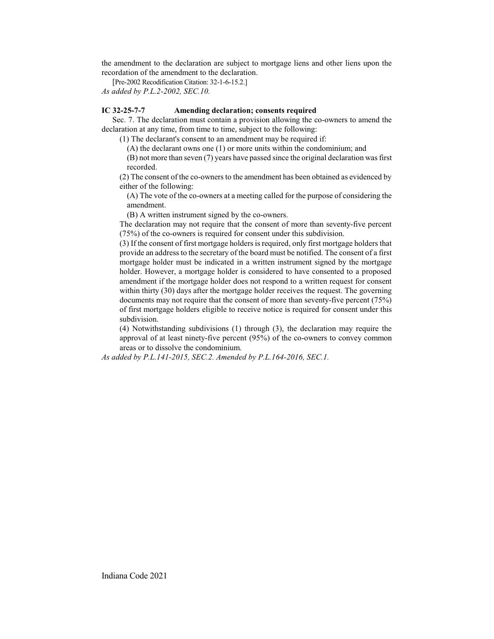the amendment to the declaration are subject to mortgage liens and other liens upon the recordation of the amendment to the declaration.

[Pre-2002 Recodification Citation: 32-1-6-15.2.] *As added by P.L.2-2002, SEC.10.*

# **IC 32-25-7-7 Amending declaration; consents required**

Sec. 7. The declaration must contain a provision allowing the co-owners to amend the declaration at any time, from time to time, subject to the following:

(1) The declarant's consent to an amendment may be required if:

(A) the declarant owns one (1) or more units within the condominium; and

(B) not more than seven (7) years have passed since the original declaration was first recorded.

(2) The consent of the co-owners to the amendment has been obtained as evidenced by either of the following:

(A) The vote of the co-owners at a meeting called for the purpose of considering the amendment.

(B) A written instrument signed by the co-owners.

The declaration may not require that the consent of more than seventy-five percent (75%) of the co-owners is required for consent under this subdivision.

(3) If the consent of first mortgage holders is required, only first mortgage holders that provide an address to the secretary of the board must be notified. The consent of a first mortgage holder must be indicated in a written instrument signed by the mortgage holder. However, a mortgage holder is considered to have consented to a proposed amendment if the mortgage holder does not respond to a written request for consent within thirty (30) days after the mortgage holder receives the request. The governing documents may not require that the consent of more than seventy-five percent (75%) of first mortgage holders eligible to receive notice is required for consent under this subdivision.

(4) Notwithstanding subdivisions (1) through (3), the declaration may require the approval of at least ninety-five percent (95%) of the co-owners to convey common areas or to dissolve the condominium.

*As added by P.L.141-2015, SEC.2. Amended by P.L.164-2016, SEC.1.*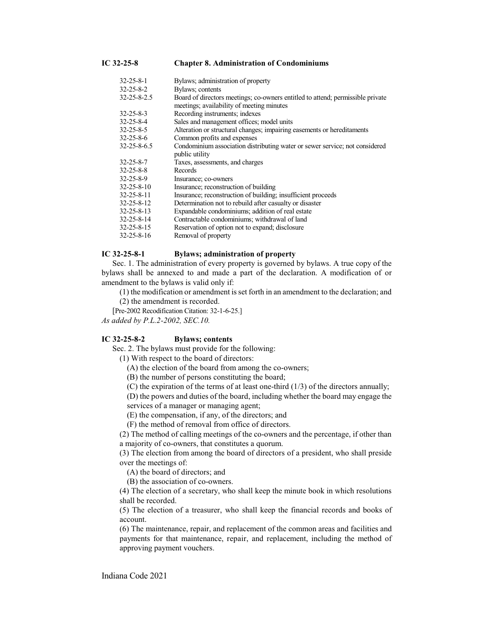| 32-25-8-1   | Bylaws; administration of property                                             |
|-------------|--------------------------------------------------------------------------------|
| 32-25-8-2   | Bylaws; contents                                                               |
| 32-25-8-2.5 | Board of directors meetings; co-owners entitled to attend; permissible private |
|             | meetings; availability of meeting minutes                                      |
| 32-25-8-3   | Recording instruments; indexes                                                 |
| 32-25-8-4   | Sales and management offices; model units                                      |
| 32-25-8-5   | Alteration or structural changes; impairing easements or hereditaments         |
| 32-25-8-6   | Common profits and expenses                                                    |
| 32-25-8-6.5 | Condominium association distributing water or sewer service; not considered    |
|             | public utility                                                                 |
| 32-25-8-7   | Taxes, assessments, and charges                                                |
| 32-25-8-8   | Records                                                                        |
| 32-25-8-9   | Insurance; co-owners                                                           |
| 32-25-8-10  | Insurance; reconstruction of building                                          |
| 32-25-8-11  | Insurance; reconstruction of building; insufficient proceeds                   |
| 32-25-8-12  | Determination not to rebuild after casualty or disaster                        |
| 32-25-8-13  | Expandable condominiums; addition of real estate                               |
| 32-25-8-14  | Contractable condominiums; withdrawal of land                                  |
| 32-25-8-15  | Reservation of option not to expand; disclosure                                |
| 32-25-8-16  | Removal of property                                                            |

## **IC 32-25-8-1 Bylaws; administration of property**

Sec. 1. The administration of every property is governed by bylaws. A true copy of the bylaws shall be annexed to and made a part of the declaration. A modification of or amendment to the bylaws is valid only if:

(1) the modification or amendment isset forth in an amendment to the declaration; and

(2) the amendment is recorded.

[Pre-2002 Recodification Citation: 32-1-6-25.]

*As added by P.L.2-2002, SEC.10.*

#### **IC 32-25-8-2 Bylaws; contents**

Sec. 2. The bylaws must provide for the following:

(1) With respect to the board of directors:

(A) the election of the board from among the co-owners;

(B) the number of persons constituting the board;

(C) the expiration of the terms of at least one-third  $(1/3)$  of the directors annually;

(D) the powers and duties of the board, including whether the board may engage the services of a manager or managing agent;

(E) the compensation, if any, of the directors; and

(F) the method of removal from office of directors.

(2) The method of calling meetings of the co-owners and the percentage, if other than a majority of co-owners, that constitutes a quorum.

(3) The election from among the board of directors of a president, who shall preside over the meetings of:

(A) the board of directors; and

(B) the association of co-owners.

(4) The election of a secretary, who shall keep the minute book in which resolutions shall be recorded.

(5) The election of a treasurer, who shall keep the financial records and books of account.

(6) The maintenance, repair, and replacement of the common areas and facilities and payments for that maintenance, repair, and replacement, including the method of approving payment vouchers.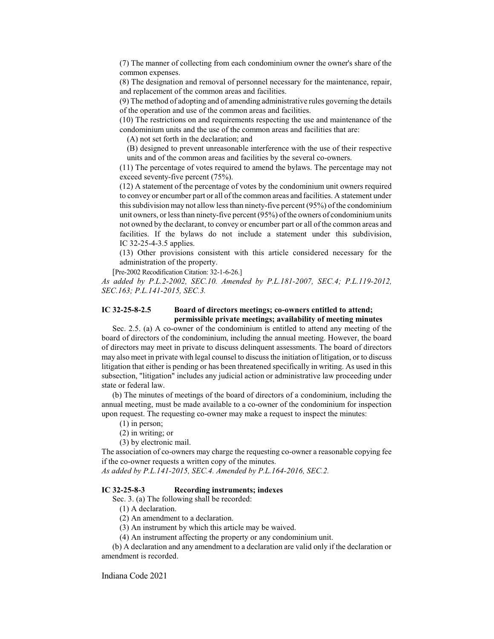(7) The manner of collecting from each condominium owner the owner's share of the common expenses.

(8) The designation and removal of personnel necessary for the maintenance, repair, and replacement of the common areas and facilities.

(9) The method of adopting and of amending administrative rules governing the details of the operation and use of the common areas and facilities.

(10) The restrictions on and requirements respecting the use and maintenance of the condominium units and the use of the common areas and facilities that are:

(A) not set forth in the declaration; and

(B) designed to prevent unreasonable interference with the use of their respective units and of the common areas and facilities by the several co-owners.

(11) The percentage of votes required to amend the bylaws. The percentage may not exceed seventy-five percent (75%).

(12) A statement of the percentage of votes by the condominium unit owners required to convey or encumber part or all ofthe common areas and facilities. A statement under this subdivision may not allow less than ninety-five percent (95%) of the condominium unit owners, or less than ninety-five percent  $(95%)$  of the owners of condominium units not owned by the declarant, to convey or encumber part or all of the common areas and facilities. If the bylaws do not include a statement under this subdivision, IC 32-25-4-3.5 applies.

(13) Other provisions consistent with this article considered necessary for the administration of the property.

[Pre-2002 Recodification Citation: 32-1-6-26.]

*As added by P.L.2-2002, SEC.10. Amended by P.L.181-2007, SEC.4; P.L.119-2012, SEC.163; P.L.141-2015, SEC.3.*

## **IC 32-25-8-2.5 Board of directors meetings; co-owners entitled to attend; permissible private meetings; availability of meeting minutes**

Sec. 2.5. (a) A co-owner of the condominium is entitled to attend any meeting of the board of directors of the condominium, including the annual meeting. However, the board of directors may meet in private to discuss delinquent assessments. The board of directors may also meet in private with legal counsel to discuss the initiation of litigation, or to discuss litigation that either is pending or has been threatened specifically in writing. As used in this subsection, "litigation" includes any judicial action or administrative law proceeding under state or federal law.

(b) The minutes of meetings of the board of directors of a condominium, including the annual meeting, must be made available to a co-owner of the condominium for inspection upon request. The requesting co-owner may make a request to inspect the minutes:

- (1) in person;
- (2) in writing; or

(3) by electronic mail.

The association of co-owners may charge the requesting co-owner a reasonable copying fee if the co-owner requests a written copy of the minutes.

*As added by P.L.141-2015, SEC.4. Amended by P.L.164-2016, SEC.2.*

#### **IC 32-25-8-3 Recording instruments; indexes**

Sec. 3. (a) The following shall be recorded:

(1) A declaration.

(2) An amendment to a declaration.

(3) An instrument by which this article may be waived.

(4) An instrument affecting the property or any condominium unit.

(b) A declaration and any amendment to a declaration are valid only if the declaration or amendment is recorded.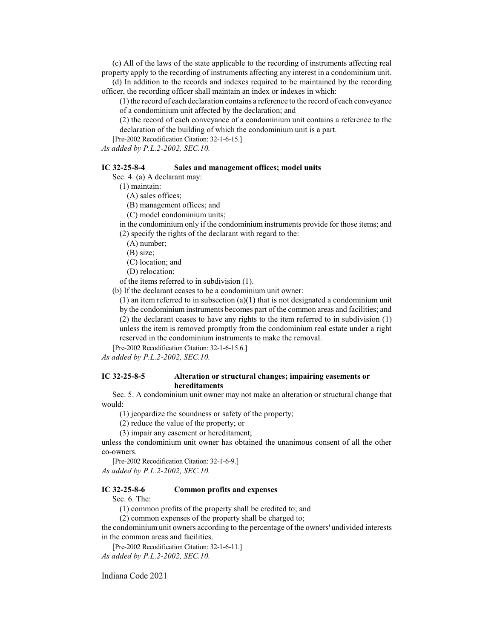(c) All of the laws of the state applicable to the recording of instruments affecting real property apply to the recording of instruments affecting any interest in a condominium unit.

(d) In addition to the records and indexes required to be maintained by the recording officer, the recording officer shall maintain an index or indexes in which:

(1) the record of each declaration contains a reference to the record of each conveyance of a condominium unit affected by the declaration; and

(2) the record of each conveyance of a condominium unit contains a reference to the declaration of the building of which the condominium unit is a part.

[Pre-2002 Recodification Citation: 32-1-6-15.]

*As added by P.L.2-2002, SEC.10.*

#### **IC 32-25-8-4 Sales and management offices; model units**

Sec. 4. (a) A declarant may:

(1) maintain:

(A) sales offices;

(B) management offices; and

(C) model condominium units;

in the condominium only if the condominium instruments provide for those items; and (2) specify the rights of the declarant with regard to the:

(A) number;

(B) size;

(C) location; and

(D) relocation;

of the items referred to in subdivision (1).

(b) If the declarant ceases to be a condominium unit owner:

 $(1)$  an item referred to in subsection  $(a)(1)$  that is not designated a condominium unit by the condominium instruments becomes part of the common areas and facilities; and (2) the declarant ceases to have any rights to the item referred to in subdivision (1) unless the item is removed promptly from the condominium real estate under a right

reserved in the condominium instruments to make the removal.

[Pre-2002 Recodification Citation: 32-1-6-15.6.]

*As added by P.L.2-2002, SEC.10.*

#### **IC 32-25-8-5 Alteration or structural changes; impairing easements or hereditaments**

Sec. 5. A condominium unit owner may not make an alteration or structural change that would:

(1) jeopardize the soundness or safety of the property;

(2) reduce the value of the property; or

(3) impair any easement or hereditament;

unless the condominium unit owner has obtained the unanimous consent of all the other co-owners.

[Pre-2002 Recodification Citation: 32-1-6-9.] *As added by P.L.2-2002, SEC.10.*

## **IC 32-25-8-6 Common profits and expenses**

Sec. 6. The:

(1) common profits of the property shall be credited to; and

(2) common expenses of the property shall be charged to;

the condominium unit owners according to the percentage of the owners' undivided interests in the common areas and facilities.

[Pre-2002 Recodification Citation: 32-1-6-11.] *As added by P.L.2-2002, SEC.10.*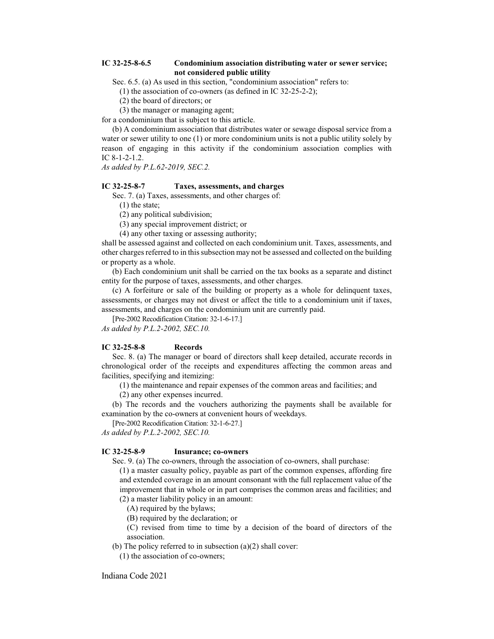# **IC 32-25-8-6.5 Condominium association distributing water or sewer service; not considered public utility**

Sec. 6.5. (a) As used in this section, "condominium association" refers to:

(1) the association of co-owners (as defined in IC 32-25-2-2);

(2) the board of directors; or

(3) the manager or managing agent;

for a condominium that is subject to this article.

(b) A condominium association that distributes water or sewage disposal service from a water or sewer utility to one (1) or more condominium units is not a public utility solely by reason of engaging in this activity if the condominium association complies with IC 8-1-2-1.2.

*As added by P.L.62-2019, SEC.2.*

# **IC 32-25-8-7 Taxes, assessments, and charges**

Sec. 7. (a) Taxes, assessments, and other charges of:

(1) the state;

(2) any political subdivision;

(3) any special improvement district; or

(4) any other taxing or assessing authority;

shall be assessed against and collected on each condominium unit. Taxes, assessments, and other charges referred to in this subsection may not be assessed and collected on the building or property as a whole.

(b) Each condominium unit shall be carried on the tax books as a separate and distinct entity for the purpose of taxes, assessments, and other charges.

(c) A forfeiture or sale of the building or property as a whole for delinquent taxes, assessments, or charges may not divest or affect the title to a condominium unit if taxes, assessments, and charges on the condominium unit are currently paid.

[Pre-2002 Recodification Citation: 32-1-6-17.]

*As added by P.L.2-2002, SEC.10.*

#### **IC 32-25-8-8 Records**

Sec. 8. (a) The manager or board of directors shall keep detailed, accurate records in chronological order of the receipts and expenditures affecting the common areas and facilities, specifying and itemizing:

(1) the maintenance and repair expenses of the common areas and facilities; and

(2) any other expenses incurred.

(b) The records and the vouchers authorizing the payments shall be available for examination by the co-owners at convenient hours of weekdays.

[Pre-2002 Recodification Citation: 32-1-6-27.]

*As added by P.L.2-2002, SEC.10.*

# **IC 32-25-8-9 Insurance; co-owners**

Sec. 9. (a) The co-owners, through the association of co-owners, shall purchase:

(1) a master casualty policy, payable as part of the common expenses, affording fire and extended coverage in an amount consonant with the full replacement value of the improvement that in whole or in part comprises the common areas and facilities; and

(2) a master liability policy in an amount:

(A) required by the bylaws;

(B) required by the declaration; or

(C) revised from time to time by a decision of the board of directors of the association.

(b) The policy referred to in subsection  $(a)(2)$  shall cover:

(1) the association of co-owners;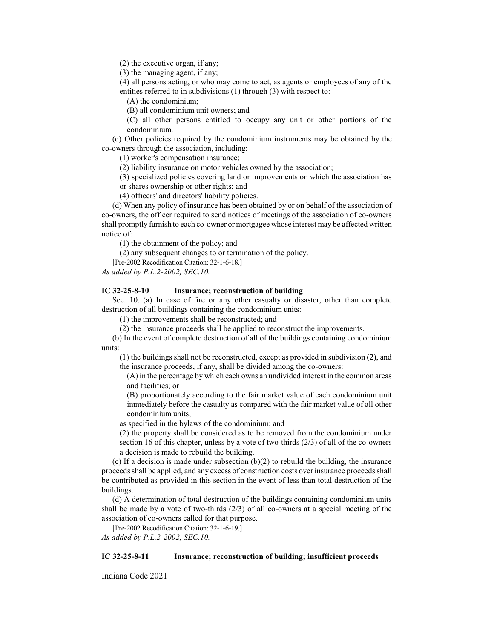(2) the executive organ, if any;

(3) the managing agent, if any;

(4) all persons acting, or who may come to act, as agents or employees of any of the entities referred to in subdivisions (1) through (3) with respect to:

(A) the condominium;

(B) all condominium unit owners; and

(C) all other persons entitled to occupy any unit or other portions of the condominium.

(c) Other policies required by the condominium instruments may be obtained by the co-owners through the association, including:

(1) worker's compensation insurance;

(2) liability insurance on motor vehicles owned by the association;

(3) specialized policies covering land or improvements on which the association has or shares ownership or other rights; and

(4) officers' and directors' liability policies.

(d) When any policy of insurance has been obtained by or on behalf of the association of co-owners, the officer required to send notices of meetings of the association of co-owners shall promptly furnish to each co-owner or mortgagee whose interest may be affected written notice of:

(1) the obtainment of the policy; and

(2) any subsequent changes to or termination of the policy.

[Pre-2002 Recodification Citation: 32-1-6-18.]

*As added by P.L.2-2002, SEC.10.*

#### **IC 32-25-8-10 Insurance; reconstruction of building**

Sec. 10. (a) In case of fire or any other casualty or disaster, other than complete destruction of all buildings containing the condominium units:

(1) the improvements shall be reconstructed; and

(2) the insurance proceeds shall be applied to reconstruct the improvements.

(b) In the event of complete destruction of all of the buildings containing condominium units:

(1) the buildings shall not be reconstructed, except as provided in subdivision (2), and the insurance proceeds, if any, shall be divided among the co-owners:

(A) in the percentage by which each owns an undivided interest in the common areas and facilities; or

(B) proportionately according to the fair market value of each condominium unit immediately before the casualty as compared with the fair market value of all other condominium units;

as specified in the bylaws of the condominium; and

(2) the property shall be considered as to be removed from the condominium under section 16 of this chapter, unless by a vote of two-thirds (2/3) of all of the co-owners a decision is made to rebuild the building.

(c) If a decision is made under subsection (b)(2) to rebuild the building, the insurance proceedsshall be applied, and any excess of construction costs over insurance proceeds shall be contributed as provided in this section in the event of less than total destruction of the buildings.

(d) A determination of total destruction of the buildings containing condominium units shall be made by a vote of two-thirds  $(2/3)$  of all co-owners at a special meeting of the association of co-owners called for that purpose.

[Pre-2002 Recodification Citation: 32-1-6-19.] *As added by P.L.2-2002, SEC.10.*

### **IC 32-25-8-11 Insurance; reconstruction of building; insufficient proceeds**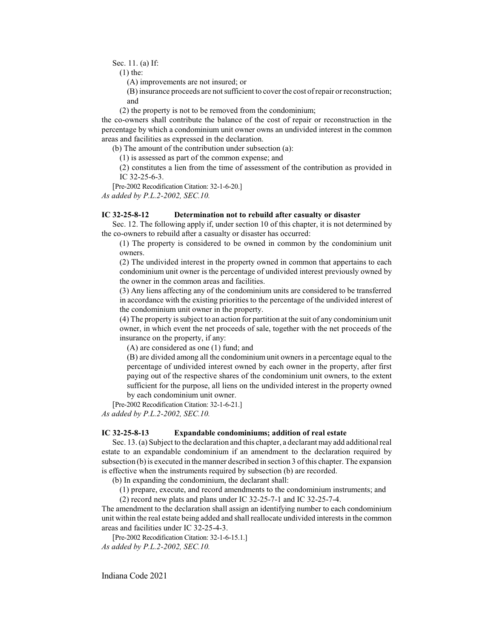Sec. 11. (a) If:

(1) the:

(A) improvements are not insured; or

(B) insurance proceeds are notsufficient to cover the cost ofrepair or reconstruction; and

(2) the property is not to be removed from the condominium;

the co-owners shall contribute the balance of the cost of repair or reconstruction in the percentage by which a condominium unit owner owns an undivided interest in the common areas and facilities as expressed in the declaration.

(b) The amount of the contribution under subsection (a):

(1) is assessed as part of the common expense; and

(2) constitutes a lien from the time of assessment of the contribution as provided in IC 32-25-6-3.

[Pre-2002 Recodification Citation: 32-1-6-20.]

*As added by P.L.2-2002, SEC.10.*

### **IC 32-25-8-12 Determination not to rebuild after casualty or disaster**

Sec. 12. The following apply if, under section 10 of this chapter, it is not determined by the co-owners to rebuild after a casualty or disaster has occurred:

(1) The property is considered to be owned in common by the condominium unit owners.

(2) The undivided interest in the property owned in common that appertains to each condominium unit owner is the percentage of undivided interest previously owned by the owner in the common areas and facilities.

(3) Any liens affecting any of the condominium units are considered to be transferred in accordance with the existing priorities to the percentage of the undivided interest of the condominium unit owner in the property.

(4) The property is subject to an action for partition at the suit of any condominium unit owner, in which event the net proceeds of sale, together with the net proceeds of the insurance on the property, if any:

(A) are considered as one (1) fund; and

(B) are divided among all the condominium unit owners in a percentage equal to the percentage of undivided interest owned by each owner in the property, after first paying out of the respective shares of the condominium unit owners, to the extent sufficient for the purpose, all liens on the undivided interest in the property owned by each condominium unit owner.

[Pre-2002 Recodification Citation: 32-1-6-21.] *As added by P.L.2-2002, SEC.10.*

#### **IC 32-25-8-13 Expandable condominiums; addition of real estate**

Sec. 13. (a) Subject to the declaration and this chapter, a declarant may add additional real estate to an expandable condominium if an amendment to the declaration required by subsection (b) is executed in the manner described in section 3 ofthis chapter. The expansion is effective when the instruments required by subsection (b) are recorded.

(b) In expanding the condominium, the declarant shall:

(1) prepare, execute, and record amendments to the condominium instruments; and

(2) record new plats and plans under IC 32-25-7-1 and IC 32-25-7-4.

The amendment to the declaration shall assign an identifying number to each condominium unit within the real estate being added and shall reallocate undivided interests in the common areas and facilities under IC 32-25-4-3.

[Pre-2002 Recodification Citation: 32-1-6-15.1.] *As added by P.L.2-2002, SEC.10.*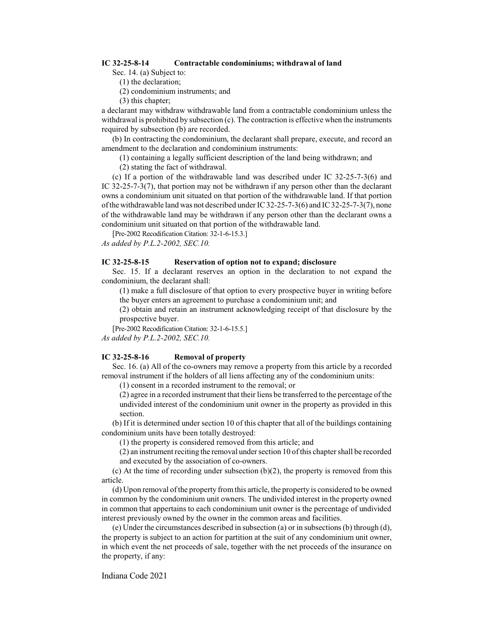### **IC 32-25-8-14 Contractable condominiums; withdrawal of land**

Sec. 14. (a) Subject to:

- (1) the declaration;
- (2) condominium instruments; and
- (3) this chapter;

a declarant may withdraw withdrawable land from a contractable condominium unless the withdrawal is prohibited by subsection (c). The contraction is effective when the instruments required by subsection (b) are recorded.

(b) In contracting the condominium, the declarant shall prepare, execute, and record an amendment to the declaration and condominium instruments:

(1) containing a legally sufficient description of the land being withdrawn; and

(2) stating the fact of withdrawal.

(c) If a portion of the withdrawable land was described under IC 32-25-7-3(6) and IC 32-25-7-3(7), that portion may not be withdrawn if any person other than the declarant owns a condominium unit situated on that portion of the withdrawable land. If that portion ofthe withdrawable land was not described under IC 32-25-7-3(6) and IC 32-25-7-3(7), none of the withdrawable land may be withdrawn if any person other than the declarant owns a condominium unit situated on that portion of the withdrawable land.

[Pre-2002 Recodification Citation: 32-1-6-15.3.] *As added by P.L.2-2002, SEC.10.*

#### **IC 32-25-8-15 Reservation of option not to expand; disclosure**

Sec. 15. If a declarant reserves an option in the declaration to not expand the condominium, the declarant shall:

(1) make a full disclosure of that option to every prospective buyer in writing before the buyer enters an agreement to purchase a condominium unit; and

(2) obtain and retain an instrument acknowledging receipt of that disclosure by the prospective buyer.

[Pre-2002 Recodification Citation: 32-1-6-15.5.]

*As added by P.L.2-2002, SEC.10.*

#### **IC 32-25-8-16 Removal of property**

Sec. 16. (a) All of the co-owners may remove a property from this article by a recorded removal instrument if the holders of all liens affecting any of the condominium units:

(1) consent in a recorded instrument to the removal; or

(2) agree in a recorded instrument that their liens be transferred to the percentage of the undivided interest of the condominium unit owner in the property as provided in this section.

(b) If it is determined under section 10 of this chapter that all of the buildings containing condominium units have been totally destroyed:

(1) the property is considered removed from this article; and

(2) an instrument reciting the removal under section 10 ofthis chapter shall be recorded and executed by the association of co-owners.

(c) At the time of recording under subsection  $(b)(2)$ , the property is removed from this article.

(d) Upon removal ofthe property fromthis article, the property is considered to be owned in common by the condominium unit owners. The undivided interest in the property owned in common that appertains to each condominium unit owner is the percentage of undivided interest previously owned by the owner in the common areas and facilities.

(e) Under the circumstances described in subsection (a) or in subsections (b) through (d), the property is subject to an action for partition at the suit of any condominium unit owner, in which event the net proceeds of sale, together with the net proceeds of the insurance on the property, if any: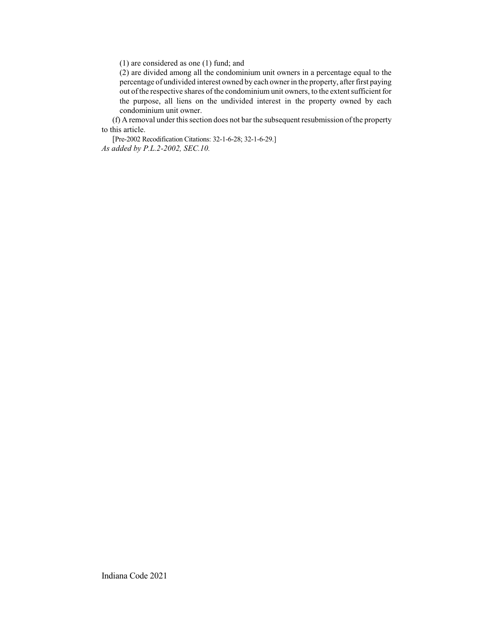(1) are considered as one (1) fund; and

(2) are divided among all the condominium unit owners in a percentage equal to the percentage of undivided interest owned by each owner in the property, after first paying out of the respective shares of the condominium unit owners, to the extent sufficient for the purpose, all liens on the undivided interest in the property owned by each condominium unit owner.

(f) A removal under this section does not bar the subsequent resubmission of the property to this article.

[Pre-2002 Recodification Citations: 32-1-6-28; 32-1-6-29.] *As added by P.L.2-2002, SEC.10.*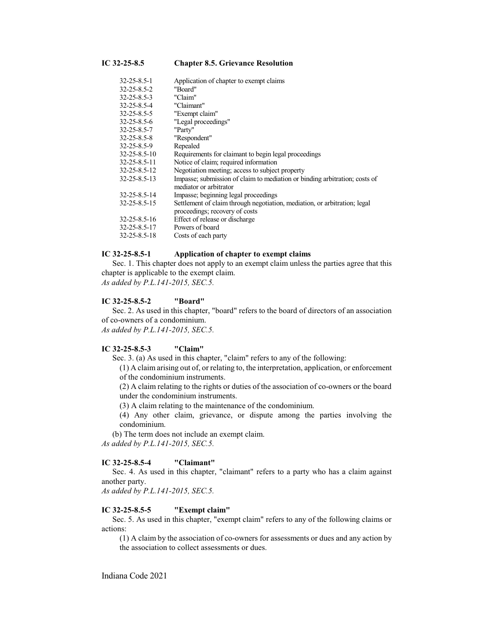**IC 32-25-8.5 Chapter 8.5. Grievance Resolution**

| 32-25-8.5-1         | Application of chapter to exempt claims                                                                     |
|---------------------|-------------------------------------------------------------------------------------------------------------|
| 32-25-8.5-2         | "Board"                                                                                                     |
| $32 - 25 - 8.5 - 3$ | "Claim"                                                                                                     |
| 32-25-8.5-4         | "Claimant"                                                                                                  |
| 32-25-8.5-5         | "Exempt claim"                                                                                              |
| 32-25-8.5-6         | "Legal proceedings"                                                                                         |
| 32-25-8.5-7         | "Party"                                                                                                     |
| 32-25-8.5-8         | "Respondent"                                                                                                |
| 32-25-8.5-9         | Repealed                                                                                                    |
| 32-25-8.5-10        | Requirements for claimant to begin legal proceedings                                                        |
| 32-25-8.5-11        | Notice of claim; required information                                                                       |
| 32-25-8.5-12        | Negotiation meeting; access to subject property                                                             |
| 32-25-8.5-13        | Impasse; submission of claim to mediation or binding arbitration; costs of<br>mediator or arbitrator        |
| 32-25-8.5-14        | Impasse; beginning legal proceedings                                                                        |
| 32-25-8.5-15        | Settlement of claim through negotiation, mediation, or arbitration; legal<br>proceedings; recovery of costs |
| 32-25-8.5-16        | Effect of release or discharge                                                                              |
| 32-25-8.5-17        | Powers of board                                                                                             |
| 32-25-8.5-18        | Costs of each party                                                                                         |
|                     |                                                                                                             |

## **IC 32-25-8.5-1 Application of chapter to exempt claims**

Sec. 1. This chapter does not apply to an exempt claim unless the parties agree that this chapter is applicable to the exempt claim. *As added by P.L.141-2015, SEC.5.*

#### **IC 32-25-8.5-2 "Board"**

Sec. 2. As used in this chapter, "board" refers to the board of directors of an association of co-owners of a condominium. *As added by P.L.141-2015, SEC.5.*

#### **IC 32-25-8.5-3 "Claim"**

Sec. 3. (a) As used in this chapter, "claim" refers to any of the following:

(1) A claim arising out of, or relating to, the interpretation, application, or enforcement of the condominium instruments.

(2) A claim relating to the rights or duties of the association of co-owners or the board under the condominium instruments.

(3) A claim relating to the maintenance of the condominium.

(4) Any other claim, grievance, or dispute among the parties involving the condominium.

(b) The term does not include an exempt claim.

*As added by P.L.141-2015, SEC.5.*

## **IC 32-25-8.5-4 "Claimant"**

Sec. 4. As used in this chapter, "claimant" refers to a party who has a claim against another party.

*As added by P.L.141-2015, SEC.5.*

### **IC 32-25-8.5-5 "Exempt claim"**

Sec. 5. As used in this chapter, "exempt claim" refers to any of the following claims or actions:

(1) A claim by the association of co-owners for assessments or dues and any action by the association to collect assessments or dues.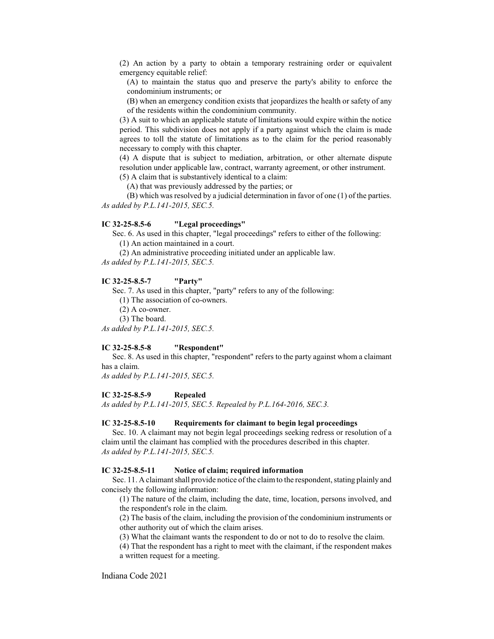(2) An action by a party to obtain a temporary restraining order or equivalent emergency equitable relief:

(A) to maintain the status quo and preserve the party's ability to enforce the condominium instruments; or

(B) when an emergency condition exists that jeopardizes the health or safety of any of the residents within the condominium community.

(3) A suit to which an applicable statute of limitations would expire within the notice period. This subdivision does not apply if a party against which the claim is made agrees to toll the statute of limitations as to the claim for the period reasonably necessary to comply with this chapter.

(4) A dispute that is subject to mediation, arbitration, or other alternate dispute resolution under applicable law, contract, warranty agreement, or other instrument.

(5) A claim that is substantively identical to a claim:

(A) that was previously addressed by the parties; or

(B) which was resolved by a judicial determination in favor of one (1) of the parties. *As added by P.L.141-2015, SEC.5.*

#### **IC 32-25-8.5-6 "Legal proceedings"**

Sec. 6. As used in this chapter, "legal proceedings" refers to either of the following:

(1) An action maintained in a court.

(2) An administrative proceeding initiated under an applicable law.

*As added by P.L.141-2015, SEC.5.*

#### **IC 32-25-8.5-7 "Party"**

Sec. 7. As used in this chapter, "party" refers to any of the following:

(1) The association of co-owners.

(2) A co-owner.

(3) The board.

*As added by P.L.141-2015, SEC.5.*

#### **IC 32-25-8.5-8 "Respondent"**

Sec. 8. As used in this chapter, "respondent" refers to the party against whom a claimant has a claim.

*As added by P.L.141-2015, SEC.5.*

# **IC 32-25-8.5-9 Repealed**

*As added by P.L.141-2015, SEC.5. Repealed by P.L.164-2016, SEC.3.*

## **IC 32-25-8.5-10 Requirements for claimant to begin legal proceedings**

Sec. 10. A claimant may not begin legal proceedings seeking redress or resolution of a claim until the claimant has complied with the procedures described in this chapter. *As added by P.L.141-2015, SEC.5.*

#### **IC 32-25-8.5-11 Notice of claim; required information**

Sec. 11. A claimant shall provide notice of the claim to the respondent, stating plainly and concisely the following information:

(1) The nature of the claim, including the date, time, location, persons involved, and the respondent's role in the claim.

(2) The basis of the claim, including the provision of the condominium instruments or other authority out of which the claim arises.

(3) What the claimant wants the respondent to do or not to do to resolve the claim.

(4) That the respondent has a right to meet with the claimant, if the respondent makes a written request for a meeting.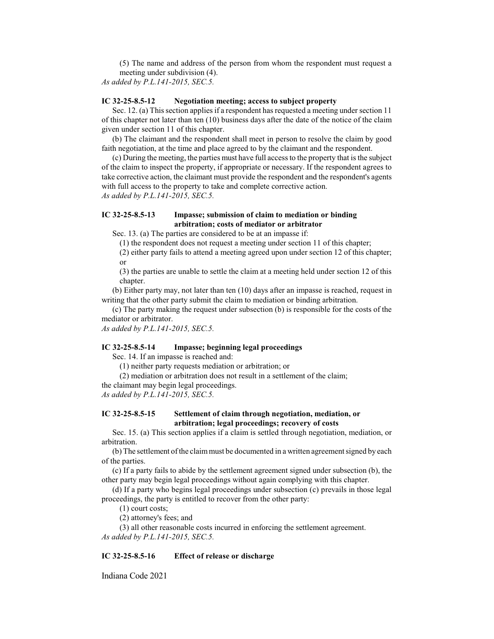(5) The name and address of the person from whom the respondent must request a meeting under subdivision (4).

*As added by P.L.141-2015, SEC.5.*

## **IC 32-25-8.5-12 Negotiation meeting; access to subject property**

Sec. 12. (a) This section applies if a respondent has requested a meeting under section 11 of this chapter not later than ten (10) business days after the date of the notice of the claim given under section 11 of this chapter.

(b) The claimant and the respondent shall meet in person to resolve the claim by good faith negotiation, at the time and place agreed to by the claimant and the respondent.

(c) During the meeting, the parties must have full access to the property that is the subject of the claim to inspect the property, if appropriate or necessary. If the respondent agrees to take corrective action, the claimant must provide the respondent and the respondent's agents with full access to the property to take and complete corrective action. *As added by P.L.141-2015, SEC.5.*

## **IC 32-25-8.5-13 Impasse; submission of claim to mediation or binding arbitration; costs of mediator or arbitrator**

Sec. 13. (a) The parties are considered to be at an impasse if:

(1) the respondent does not request a meeting under section 11 of this chapter;

(2) either party fails to attend a meeting agreed upon under section 12 of this chapter; or

(3) the parties are unable to settle the claim at a meeting held under section 12 of this chapter.

(b) Either party may, not later than ten (10) days after an impasse is reached, request in writing that the other party submit the claim to mediation or binding arbitration.

(c) The party making the request under subsection (b) is responsible for the costs of the mediator or arbitrator.

*As added by P.L.141-2015, SEC.5.*

#### **IC 32-25-8.5-14 Impasse; beginning legal proceedings**

Sec. 14. If an impasse is reached and:

(1) neither party requests mediation or arbitration; or

(2) mediation or arbitration does not result in a settlement of the claim;

the claimant may begin legal proceedings.

*As added by P.L.141-2015, SEC.5.*

# **IC 32-25-8.5-15 Settlement of claim through negotiation, mediation, or arbitration; legal proceedings; recovery of costs**

Sec. 15. (a) This section applies if a claim is settled through negotiation, mediation, or arbitration.

(b) The settlement ofthe claimmust be documented in a written agreement signed by each of the parties.

(c) If a party fails to abide by the settlement agreement signed under subsection (b), the other party may begin legal proceedings without again complying with this chapter.

(d) If a party who begins legal proceedings under subsection (c) prevails in those legal proceedings, the party is entitled to recover from the other party:

(1) court costs;

(2) attorney's fees; and

(3) all other reasonable costs incurred in enforcing the settlement agreement. *As added by P.L.141-2015, SEC.5.*

### **IC 32-25-8.5-16 Effect of release or discharge**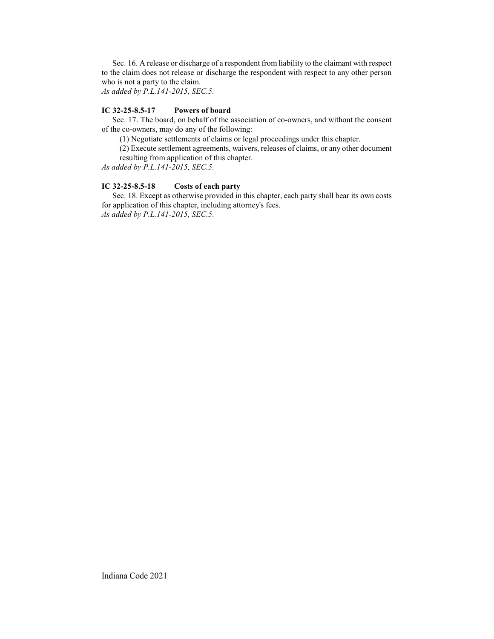Sec. 16. A release or discharge of a respondent from liability to the claimant with respect to the claim does not release or discharge the respondent with respect to any other person who is not a party to the claim.

*As added by P.L.141-2015, SEC.5.*

# **IC 32-25-8.5-17 Powers of board**

Sec. 17. The board, on behalf of the association of co-owners, and without the consent of the co-owners, may do any of the following:

(1) Negotiate settlements of claims or legal proceedings under this chapter.

(2) Execute settlement agreements, waivers, releases of claims, or any other document resulting from application of this chapter.

*As added by P.L.141-2015, SEC.5.*

# **IC 32-25-8.5-18 Costs of each party**

Sec. 18. Except as otherwise provided in this chapter, each party shall bear its own costs for application of this chapter, including attorney's fees. *As added by P.L.141-2015, SEC.5.*